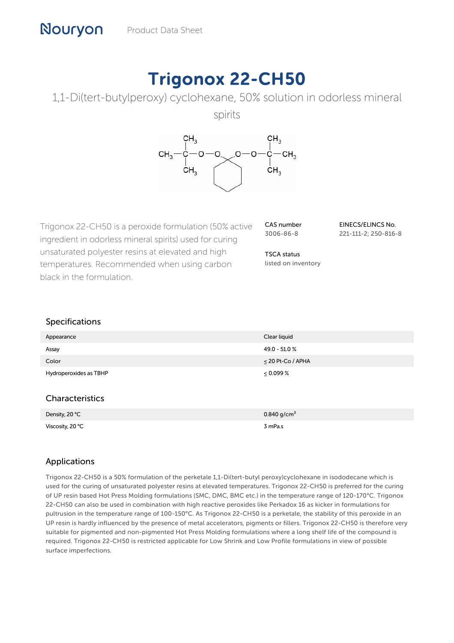# Trigonox 22-CH50



spirits



Trigonox 22-CH50 is a peroxide formulation (50% active ingredient in odorless mineral spirits) used for curing unsaturated polyester resins at elevated and high temperatures. Recommended when using carbon black in the formulation.

Viscosity, 20 °C 3 mPa.s

CAS number 3006-86-8

EINECS/ELINCS No. 221-111-2; 250-816-8

TSCA status listed on inventory

# Specifications

| Appearance             | Clear liquid            |
|------------------------|-------------------------|
| Assay                  | 49.0 - 51.0 %           |
| Color                  | $\leq$ 20 Pt-Co / APHA  |
| Hydroperoxides as TBHP | $\leq 0.099\%$          |
| Characteristics        |                         |
| Density, 20 °C         | 0.840 g/cm <sup>3</sup> |

# Applications

Trigonox 22-CH50 is a 50% formulation of the perketale 1,1-Di(tert-butyl peroxy)cyclohexane in isododecane which is used for the curing of unsaturated polyester resins at elevated temperatures. Trigonox 22-CH50 is preferred for the curing of UP resin based Hot Press Molding formulations (SMC, DMC, BMC etc.) in the temperature range of 120-170°C. Trigonox 22-CH50 can also be used in combination with high reactive peroxides like Perkadox 16 as kicker in formulations for pultrusion in the temperature range of 100-150°C. As Trigonox 22-CH50 is a perketale, the stability of this peroxide in an UP resin is hardly influenced by the presence of metal accelerators, pigments or fillers. Trigonox 22-CH50 is therefore very suitable for pigmented and non-pigmented Hot Press Molding formulations where a long shelf life of the compound is required. Trigonox 22-CH50 is restricted applicable for Low Shrink and Low Profile formulations in view of possible surface imperfections.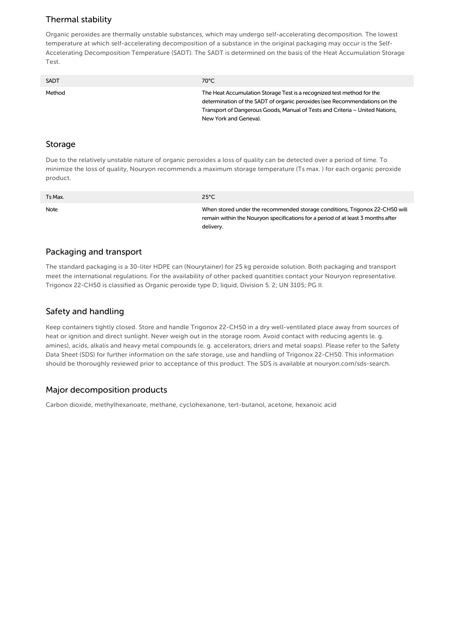# Thermal stability

Organic peroxides are thermally unstable substances, which may undergo self-accelerating decomposition. The lowest temperature at which self-accelerating decomposition of a substance in the original packaging may occur is the Self-Accelerating Decomposition Temperature (SADT). The SADT is determined on the basis of the Heat Accumulation Storage Test.

| <b>SADT</b> | 70°C                                                                                                                                                 |
|-------------|------------------------------------------------------------------------------------------------------------------------------------------------------|
| Method      | The Heat Accumulation Storage Test is a recognized test method for the<br>determination of the SADT of organic peroxides (see Recommendations on the |
|             | Transport of Dangerous Goods, Manual of Tests and Criteria – United Nations,                                                                         |
|             | New York and Geneva).                                                                                                                                |

#### Storage

Due to the relatively unstable nature of organic peroxides a loss of quality can be detected over a period of time. To minimize the loss of quality, Nouryon recommends a maximum storage temperature (Ts max. ) for each organic peroxide product.

| Ts Max. | $25^{\circ}$ C                                                                                                                                                               |
|---------|------------------------------------------------------------------------------------------------------------------------------------------------------------------------------|
| Note    | When stored under the recommended storage conditions, Trigonox 22-CH50 will<br>remain within the Nouryon specifications for a period of at least 3 months after<br>delivery. |

#### Packaging and transport

The standard packaging is a 30-liter HDPE can (Nourytainer) for 25 kg peroxide solution. Both packaging and transport meet the international regulations. For the availability of other packed quantities contact your Nouryon representative. Trigonox 22-CH50 is classified as Organic peroxide type D; liquid, Division 5. 2; UN 3105; PG II.

# Safety and handling

Keep containers tightly closed. Store and handle Trigonox 22-CH50 in a dry well-ventilated place away from sources of heat or ignition and direct sunlight. Never weigh out in the storage room. Avoid contact with reducing agents (e. g. amines), acids, alkalis and heavy metal compounds (e. g. accelerators, driers and metal soaps). Please refer to the Safety Data Sheet (SDS) for further information on the safe storage, use and handling of Trigonox 22-CH50. This information should be thoroughly reviewed prior to acceptance of this product. The SDS is available at nouryon.com/sds-search.

## Major decomposition products

Carbon dioxide, methylhexanoate, methane, cyclohexanone, tert-butanol, acetone, hexanoic acid